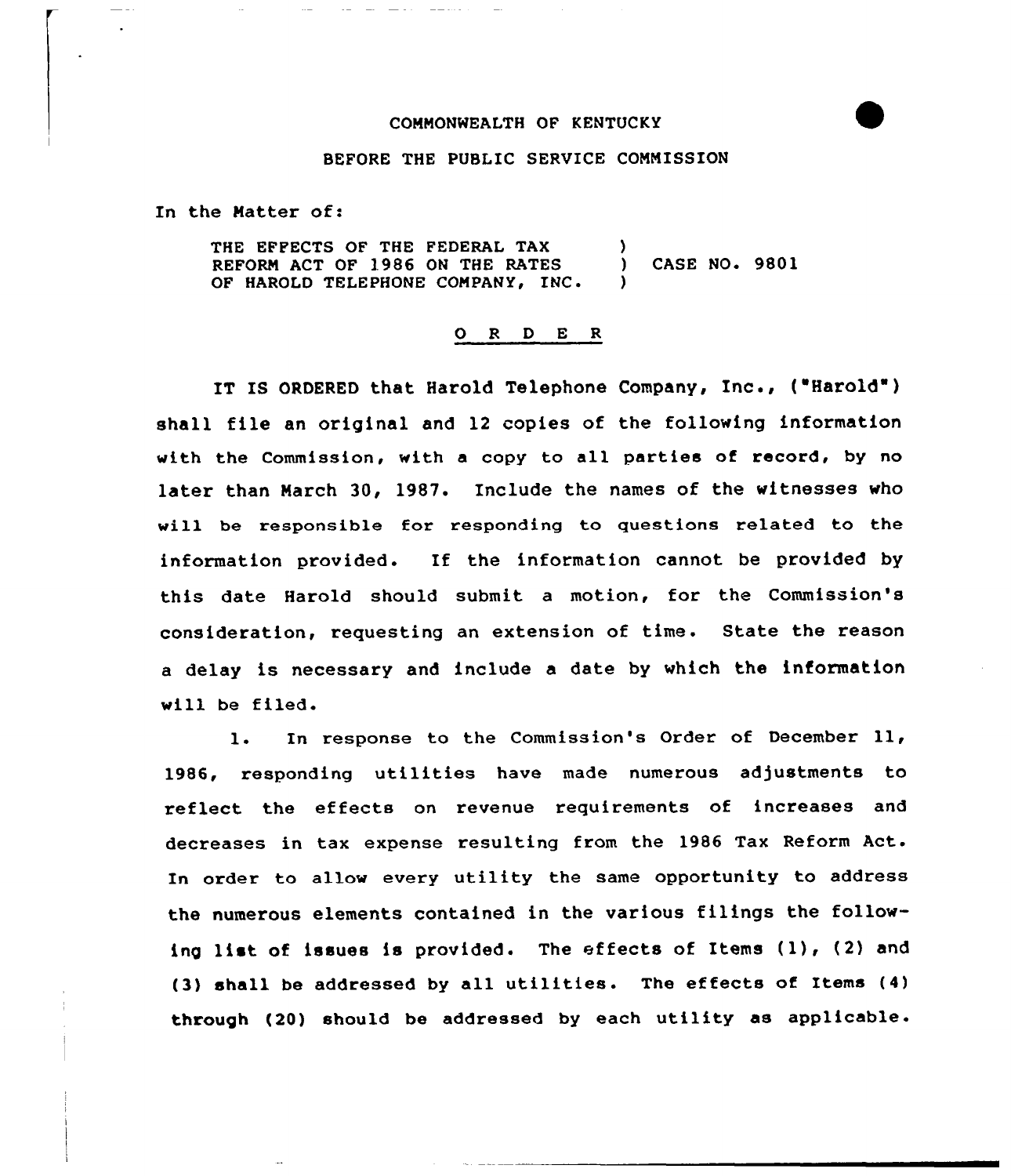## CONNONWEALTH OF KENTUCKY



## BEFORE THE PUBLIC SERVICE CONNISSION

In the Natter of:

THE EFFECTS OF THE FEDERAL TAX (1) REFORN ACT OF 1986 ON THE RATES ) CASE NO. 9801 OF HAROLD TELEPHONE COMPANY, INC.

## 0 <sup>R</sup> <sup>D</sup> E <sup>R</sup>

IT IS ORDERED that Harold Telephone Company, Inc., ("Harold' shall file an original and 12 copies of the following information with the Commission, with <sup>a</sup> copy to all parties of record, by no later than Narch 30, 1987. Include the names of the witnesses who will be responsible for responding to questions related to the information provided. If the information cannot be provided by this date Harold should submit a motion, for the Commission's consideration, requesting an extension of time. State the reason a delay is necessary and include a date by which the information will be filed.

l. In response to the Commission's Order of December 11, 1986, responding utilities have made numerous adjustments to reflect the effects on revenue requirements of increases and decreases in tax expense resulting from the 1986 Tax Reform Act. In order to allow every utility the same opportunity to address the numerous elements contained in the various filings the following list of issues is provided. The effects of Items (1), (2) and (3) shall be addressed by all utilities. The effects of Items (4) through (20) should be addressed by each utility as applicable.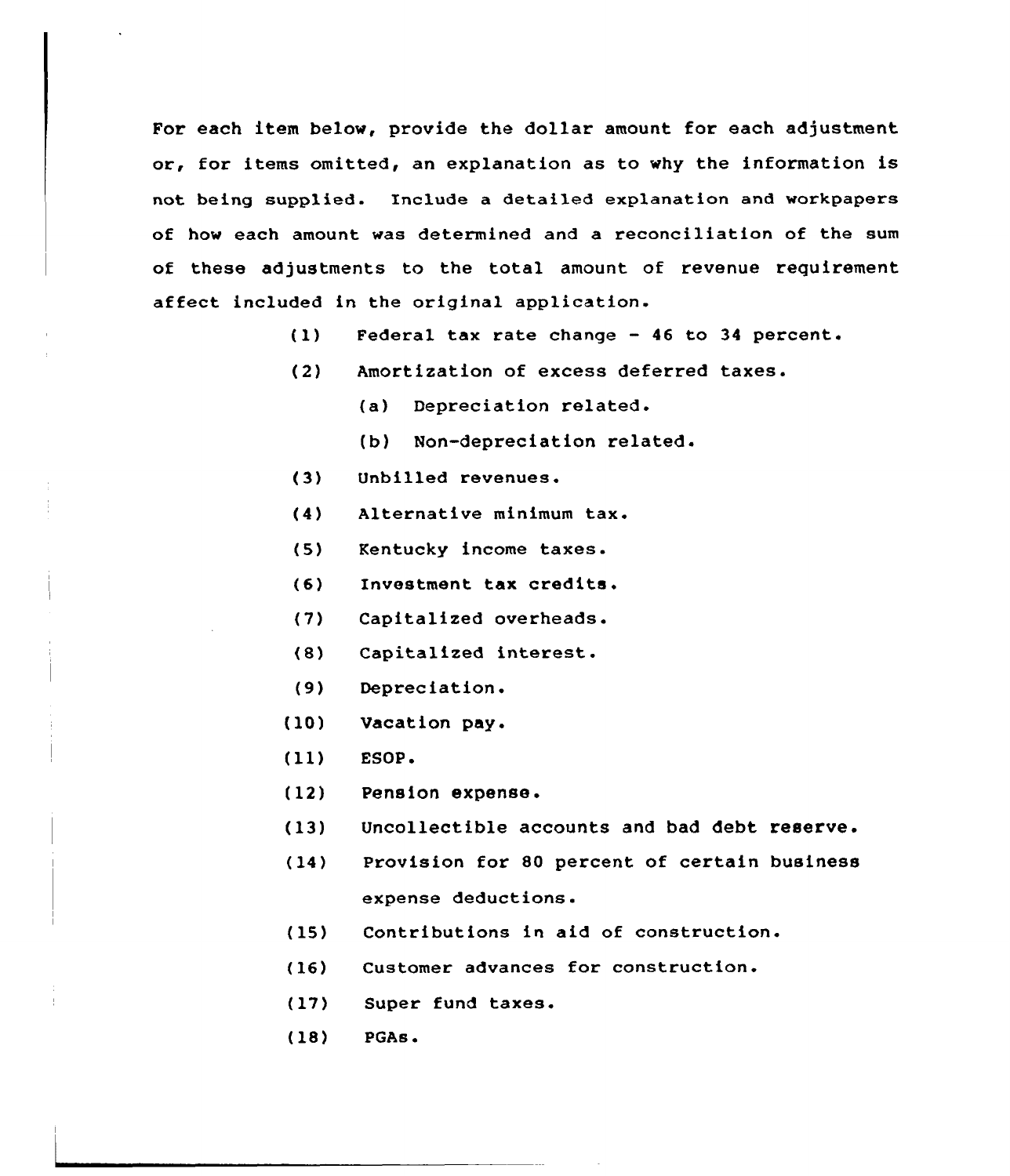For each item below, provide the dollar amount for each adjustment or, for items omitted, an explanation as to why the information is not being supplied. Include a detailed explanation and workpapers of how each amount was determined and a reconciliation of the sum of these adjustments to the total amount of revenue requirement affect included in the original application.

- Federal tax rate change 46 to 34 percent.  $(1)$
- (2) Amortization of excess deferred taxes.
	- (a) Depreciation related.
	- (b) Non-depreciation related.
- $(3)$ Unbilled revenues.
- (4) Alternative minimum tax.
- Kentucky income taxes.  $(5)$
- $(6)$ Investment tax credits.
- (7) Capitalized overheads.
- (8) Capitalized interest.
- (9) Depreciation.
- (10) Vacation pay.
- $(11)$  ESOP.
- (12) Pension expense.
- (13) Uncollectible accounts and bad debt reserve.
- (14) Provision for 80 percent of certain business expense deductions.
- (15) tions in aid of construction
- (16) Customer advances for construction.
- (17) Super fund taxes.
- (18) PGAs.